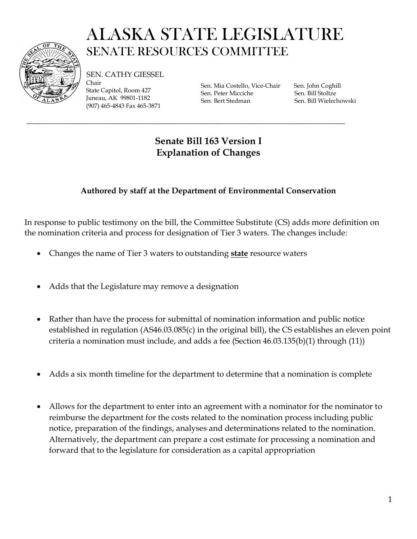

## ALASKA STATE LEGISLATURE SENATE RESOURCES COMMITTEE

SEN. CATHY GIESSEL Chair State Capitol, Room 427 Juneau, AK 99801-1182

(907) 465-4843 Fax 465-3871

Sen. Mia Costello, Vice-Chair Sen. John Coghill Sen. Peter Micciche Sen. Bill Stoltze Sen. Bert Stedman Sen. Bill Wielechowski

## **Senate Bill 163 Version I Explanation of Changes**

\_\_\_\_\_\_\_\_\_\_\_\_\_\_\_\_\_\_\_\_\_\_\_\_\_\_\_\_\_\_\_\_\_\_\_\_\_\_\_\_\_\_\_\_\_\_\_\_\_\_\_\_\_\_\_\_\_\_\_\_\_\_\_\_\_\_\_\_\_\_\_\_\_\_\_\_\_\_

## **Authored by staff at the Department of Environmental Conservation**

In response to public testimony on the bill, the Committee Substitute (CS) adds more definition on the nomination criteria and process for designation of Tier 3 waters. The changes include:

- Changes the name of Tier 3 waters to outstanding **state** resource waters
- Adds that the Legislature may remove a designation
- Rather than have the process for submittal of nomination information and public notice established in regulation (AS46.03.085(c) in the original bill), the CS establishes an eleven point criteria a nomination must include, and adds a fee (Section 46.03.135(b)(1) through (11))
- Adds a six month timeline for the department to determine that a nomination is complete
- Allows for the department to enter into an agreement with a nominator for the nominator to reimburse the department for the costs related to the nomination process including public notice, preparation of the findings, analyses and determinations related to the nomination. Alternatively, the department can prepare a cost estimate for processing a nomination and forward that to the legislature for consideration as a capital appropriation